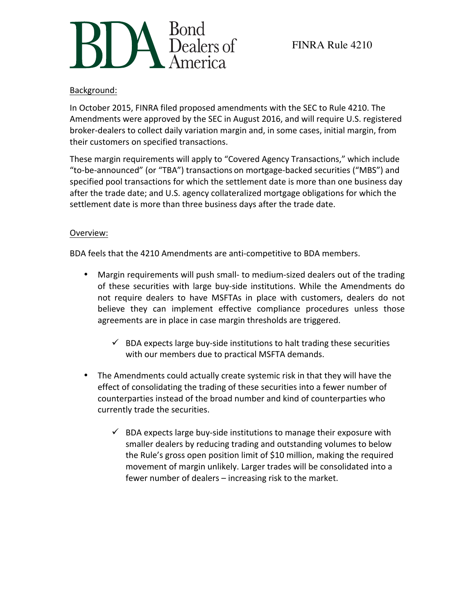

## Background:

In October 2015, FINRA filed proposed amendments with the SEC to Rule 4210. The Amendments were approved by the SEC in August 2016, and will require U.S. registered broker-dealers to collect daily variation margin and, in some cases, initial margin, from their customers on specified transactions.

These margin requirements will apply to "Covered Agency Transactions," which include "to-be-announced" (or "TBA") transactions on mortgage-backed securities ("MBS") and specified pool transactions for which the settlement date is more than one business day after the trade date; and U.S. agency collateralized mortgage obligations for which the settlement date is more than three business days after the trade date.

## Overview:

BDA feels that the 4210 Amendments are anti-competitive to BDA members.

- Margin requirements will push small- to medium-sized dealers out of the trading of these securities with large buy-side institutions. While the Amendments do not require dealers to have MSFTAs in place with customers, dealers do not believe they can implement effective compliance procedures unless those agreements are in place in case margin thresholds are triggered.
	- $\checkmark$  BDA expects large buy-side institutions to halt trading these securities with our members due to practical MSFTA demands.
- The Amendments could actually create systemic risk in that they will have the effect of consolidating the trading of these securities into a fewer number of counterparties instead of the broad number and kind of counterparties who currently trade the securities.
	- $\checkmark$  BDA expects large buy-side institutions to manage their exposure with smaller dealers by reducing trading and outstanding volumes to below the Rule's gross open position limit of \$10 million, making the required movement of margin unlikely. Larger trades will be consolidated into a fewer number of dealers - increasing risk to the market.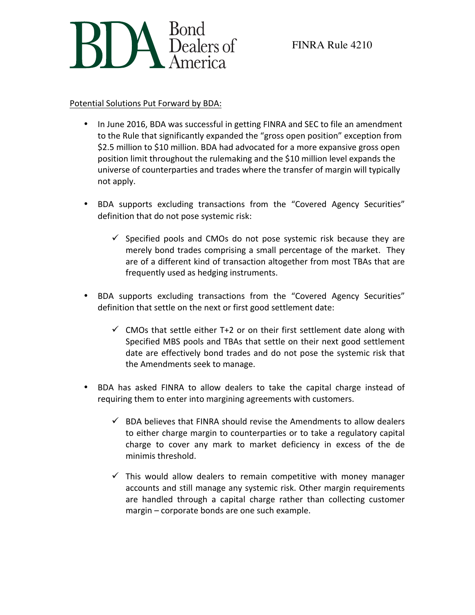

## Potential Solutions Put Forward by BDA:

- In June 2016, BDA was successful in getting FINRA and SEC to file an amendment to the Rule that significantly expanded the "gross open position" exception from \$2.5 million to \$10 million. BDA had advocated for a more expansive gross open position limit throughout the rulemaking and the \$10 million level expands the universe of counterparties and trades where the transfer of margin will typically not apply.
- BDA supports excluding transactions from the "Covered Agency Securities" definition that do not pose systemic risk:
	- $\checkmark$  Specified pools and CMOs do not pose systemic risk because they are merely bond trades comprising a small percentage of the market. They are of a different kind of transaction altogether from most TBAs that are frequently used as hedging instruments.
- BDA supports excluding transactions from the "Covered Agency Securities" definition that settle on the next or first good settlement date:
	- $\checkmark$  CMOs that settle either T+2 or on their first settlement date along with Specified MBS pools and TBAs that settle on their next good settlement date are effectively bond trades and do not pose the systemic risk that the Amendments seek to manage.
- BDA has asked FINRA to allow dealers to take the capital charge instead of requiring them to enter into margining agreements with customers.
	- $\checkmark$  BDA believes that FINRA should revise the Amendments to allow dealers to either charge margin to counterparties or to take a regulatory capital charge to cover any mark to market deficiency in excess of the de minimis threshold.
	- $\checkmark$  This would allow dealers to remain competitive with money manager accounts and still manage any systemic risk. Other margin requirements are handled through a capital charge rather than collecting customer  $margin$  – corporate bonds are one such example.